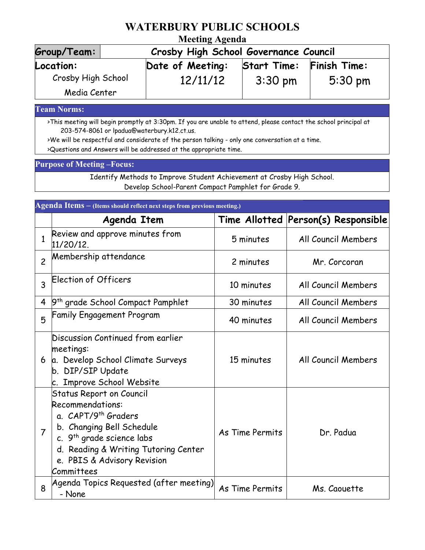## **WATERBURY PUBLIC SCHOOLS**

### **Meeting Agenda**

| Group/Team:        | 1.100<br>Crosby High School Governance Council |                    |                   |  |  |
|--------------------|------------------------------------------------|--------------------|-------------------|--|--|
| Location:          | Date of Meeting:                               | <b>Start Time:</b> | Finish Time:      |  |  |
| Crosby High School | 12/11/12                                       | $3:30 \text{ pm}$  | $5:30 \text{ pm}$ |  |  |
| Media Center       |                                                |                    |                   |  |  |

**Team Norms:**

>This meeting will begin promptly at 3:30pm. If you are unable to attend, please contact the school principal at 203-574-8061 or lpadua@waterbury.k12.ct.us.

>We will be respectful and considerate of the person talking - only one conversation at a time.

>Questions and Answers will be addressed at the appropriate time.

#### **Purpose of Meeting –Focus:**

Identify Methods to Improve Student Achievement at Crosby High School. Develop School-Parent Compact Pamphlet for Grade 9.

| Agenda Items - (Items should reflect next steps from previous meeting.) |                                                                                                                                                                                                                                                   |                 |                                     |  |  |
|-------------------------------------------------------------------------|---------------------------------------------------------------------------------------------------------------------------------------------------------------------------------------------------------------------------------------------------|-----------------|-------------------------------------|--|--|
|                                                                         | <b>Agenda Item</b>                                                                                                                                                                                                                                |                 | Time Allotted Person(s) Responsible |  |  |
| 1                                                                       | Review and approve minutes from<br>$11/20/12$ .                                                                                                                                                                                                   | 5 minutes       | All Council Members                 |  |  |
| $\overline{c}$                                                          | Membership attendance                                                                                                                                                                                                                             | 2 minutes       | Mr. Corcoran                        |  |  |
| 3                                                                       | Election of Officers                                                                                                                                                                                                                              | 10 minutes      | All Council Members                 |  |  |
| 4                                                                       | 9 <sup>th</sup> grade School Compact Pamphlet                                                                                                                                                                                                     | 30 minutes      | All Council Members                 |  |  |
| 5                                                                       | <b>Family Engagement Program</b>                                                                                                                                                                                                                  | 40 minutes      | All Council Members                 |  |  |
| 6                                                                       | Discussion Continued from earlier<br>meetings:<br>a. Develop School Climate Surveys<br>b. DIP/SIP Update<br>c. Improve School Website                                                                                                             | 15 minutes      | All Council Members                 |  |  |
| 7                                                                       | <b>Status Report on Council</b><br>Recommendations:<br>a. CAPT/9 <sup>th</sup> Graders<br>b. Changing Bell Schedule<br>c. 9 <sup>th</sup> grade science labs<br>d. Reading & Writing Tutoring Center<br>e. PBIS & Advisory Revision<br>Committees | As Time Permits | Dr. Padua                           |  |  |
| 8                                                                       | Agenda Topics Requested (after meeting) <br>- None                                                                                                                                                                                                | As Time Permits | Ms. Caouette                        |  |  |